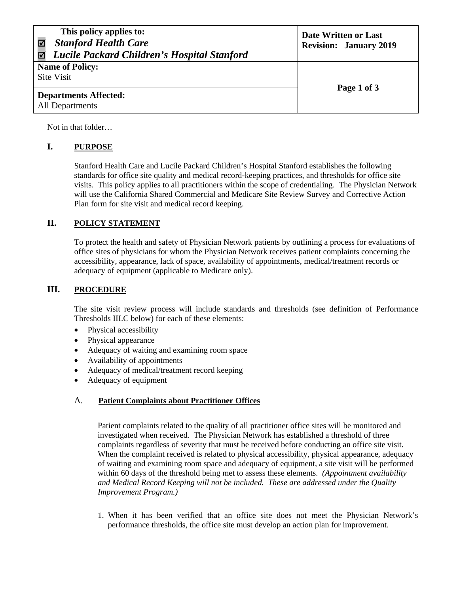| This policy applies to:<br><b>Stanford Health Care</b><br>Lucile Packard Children's Hospital Stanford | Date Written or Last<br><b>Revision: January 2019</b> |
|-------------------------------------------------------------------------------------------------------|-------------------------------------------------------|
| <b>Name of Policy:</b>                                                                                |                                                       |
| Site Visit                                                                                            |                                                       |
|                                                                                                       | Page 1 of 3                                           |
| <b>Departments Affected:</b>                                                                          |                                                       |
| All Departments                                                                                       |                                                       |

Not in that folder…

### **I. PURPOSE**

Stanford Health Care and Lucile Packard Children's Hospital Stanford establishes the following standards for office site quality and medical record-keeping practices, and thresholds for office site visits. This policy applies to all practitioners within the scope of credentialing. The Physician Network will use the California Shared Commercial and Medicare Site Review Survey and Corrective Action Plan form for site visit and medical record keeping.

## **II. POLICY STATEMENT**

To protect the health and safety of Physician Network patients by outlining a process for evaluations of office sites of physicians for whom the Physician Network receives patient complaints concerning the accessibility, appearance, lack of space, availability of appointments, medical/treatment records or adequacy of equipment (applicable to Medicare only).

### **III. PROCEDURE**

The site visit review process will include standards and thresholds (see definition of Performance Thresholds III.C below) for each of these elements:

- Physical accessibility
- Physical appearance
- Adequacy of waiting and examining room space
- Availability of appointments
- Adequacy of medical/treatment record keeping
- Adequacy of equipment

#### A. **Patient Complaints about Practitioner Offices**

Patient complaints related to the quality of all practitioner office sites will be monitored and investigated when received. The Physician Network has established a threshold of three complaints regardless of severity that must be received before conducting an office site visit. When the complaint received is related to physical accessibility, physical appearance, adequacy of waiting and examining room space and adequacy of equipment, a site visit will be performed within 60 days of the threshold being met to assess these elements. *(Appointment availability and Medical Record Keeping will not be included. These are addressed under the Quality Improvement Program.)* 

1. When it has been verified that an office site does not meet the Physician Network's performance thresholds, the office site must develop an action plan for improvement.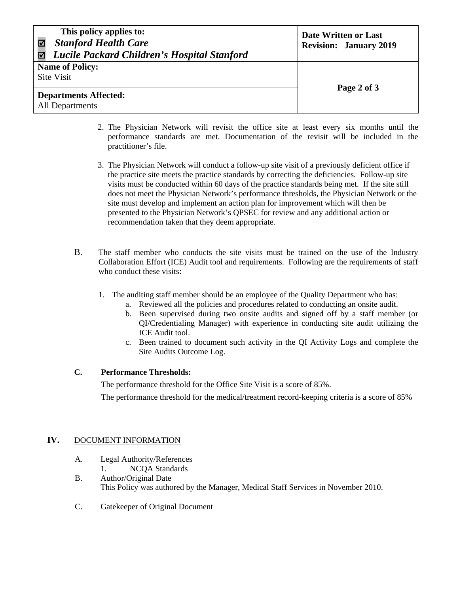| This policy applies to:<br><b>Stanford Health Care</b><br>Lucile Packard Children's Hospital Stanford | Date Written or Last<br><b>Revision: January 2019</b> |
|-------------------------------------------------------------------------------------------------------|-------------------------------------------------------|
| <b>Name of Policy:</b>                                                                                |                                                       |
| Site Visit                                                                                            |                                                       |
|                                                                                                       | Page 2 of 3                                           |
| <b>Departments Affected:</b>                                                                          |                                                       |
| All Departments                                                                                       |                                                       |

- 2. The Physician Network will revisit the office site at least every six months until the performance standards are met. Documentation of the revisit will be included in the practitioner's file.
- 3. The Physician Network will conduct a follow-up site visit of a previously deficient office if the practice site meets the practice standards by correcting the deficiencies. Follow-up site visits must be conducted within 60 days of the practice standards being met. If the site still does not meet the Physician Network's performance thresholds, the Physician Network or the site must develop and implement an action plan for improvement which will then be presented to the Physician Network's QPSEC for review and any additional action or recommendation taken that they deem appropriate.
- B. The staff member who conducts the site visits must be trained on the use of the Industry Collaboration Effort (ICE) Audit tool and requirements. Following are the requirements of staff who conduct these visits:
	- 1. The auditing staff member should be an employee of the Quality Department who has:
		- a. Reviewed all the policies and procedures related to conducting an onsite audit.
		- b. Been supervised during two onsite audits and signed off by a staff member (or QI/Credentialing Manager) with experience in conducting site audit utilizing the ICE Audit tool.
		- c. Been trained to document such activity in the QI Activity Logs and complete the Site Audits Outcome Log.

# **C. Performance Thresholds:**

The performance threshold for the Office Site Visit is a score of 85%. The performance threshold for the medical/treatment record-keeping criteria is a score of 85%

# **IV.** DOCUMENT INFORMATION

- A. Legal Authority/References
- 1. NCQA Standards B. Author/Original Date This Policy was authored by the Manager, Medical Staff Services in November 2010.
- C. Gatekeeper of Original Document